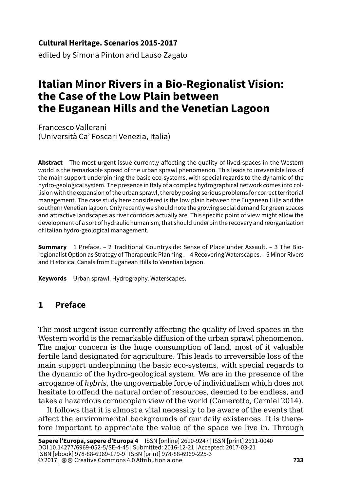#### **Cultural Heritage. Scenarios 2015-2017**

edited by Simona Pinton and Lauso Zagato

# **Italian Minor Rivers in a Bio-Regionalist Vision: the Case of the Low Plain between the Euganean Hills and the Venetian Lagoon**

Francesco Vallerani (Università Ca' Foscari Venezia, Italia)

**Abstract** The most urgent issue currently affecting the quality of lived spaces in the Western world is the remarkable spread of the urban sprawl phenomenon. This leads to irreversible loss of the main support underpinning the basic eco-systems, with special regards to the dynamic of the hydro-geological system. The presence in Italy of a complex hydrographical network comes into collision with the expansion of the urban sprawl, thereby posing serious problems for correct territorial management. The case study here considered is the low plain between the Euganean Hills and the southern Venetian lagoon. Only recently we should note the growing social demand for green spaces and attractive landscapes as river corridors actually are. This specific point of view might allow the development of a sort of hydraulic humanism, that should underpin the recovery and reorganization of Italian hydro-geological management.

**Summary** 1 Preface. – 2 Traditional Countryside: Sense of Place under Assault. – 3 The Bioregionalist Option as Strategy of Therapeutic Planning . – 4 Recovering Waterscapes. – 5 Minor Rivers and Historical Canals from Euganean Hills to Venetian lagoon.

**Keywords** Urban sprawl. Hydrography. Waterscapes.

## **1 Preface**

The most urgent issue currently affecting the quality of lived spaces in the Western world is the remarkable diffusion of the urban sprawl phenomenon. The major concern is the huge consumption of land, most of it valuable fertile land designated for agriculture. This leads to irreversible loss of the main support underpinning the basic eco-systems, with special regards to the dynamic of the hydro-geological system. We are in the presence of the arrogance of *hybris*, the ungovernable force of individualism which does not hesitate to offend the natural order of resources, deemed to be endless, and takes a hazardous cornucopian view of the world (Camerotto, Carniel 2014).

It follows that it is almost a vital necessity to be aware of the events that affect the environmental backgrounds of our daily existences. It is therefore important to appreciate the value of the space we live in. Through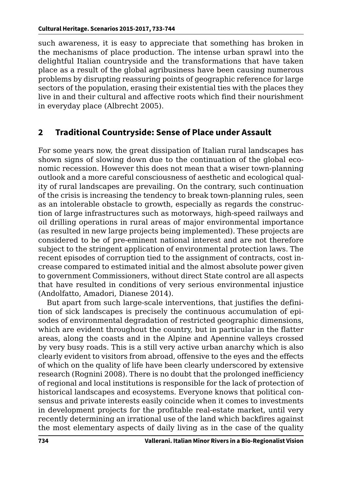such awareness, it is easy to appreciate that something has broken in the mechanisms of place production. The intense urban sprawl into the delightful Italian countryside and the transformations that have taken place as a result of the global agribusiness have been causing numerous problems by disrupting reassuring points of geographic reference for large sectors of the population, erasing their existential ties with the places they live in and their cultural and affective roots which find their nourishment in everyday place (Albrecht 2005).

## **2 Traditional Countryside: Sense of Place under Assault**

For some years now, the great dissipation of Italian rural landscapes has shown signs of slowing down due to the continuation of the global economic recession. However this does not mean that a wiser town-planning outlook and a more careful consciousness of aesthetic and ecological quality of rural landscapes are prevailing. On the contrary, such continuation of the crisis is increasing the tendency to break town-planning rules, seen as an intolerable obstacle to growth, especially as regards the construction of large infrastructures such as motorways, high-speed railways and oil drilling operations in rural areas of major environmental importance (as resulted in new large projects being implemented). These projects are considered to be of pre-eminent national interest and are not therefore subject to the stringent application of environmental protection laws. The recent episodes of corruption tied to the assignment of contracts, cost increase compared to estimated initial and the almost absolute power given to government Commissioners, without direct State control are all aspects that have resulted in conditions of very serious environmental injustice (Andolfatto, Amadori, Dianese 2014).

But apart from such large-scale interventions, that justifies the definition of sick landscapes is precisely the continuous accumulation of episodes of environmental degradation of restricted geographic dimensions, which are evident throughout the country, but in particular in the flatter areas, along the coasts and in the Alpine and Apennine valleys crossed by very busy roads. This is a still very active urban anarchy which is also clearly evident to visitors from abroad, offensive to the eyes and the effects of which on the quality of life have been clearly underscored by extensive research (Rognini 2008). There is no doubt that the prolonged inefficiency of regional and local institutions is responsible for the lack of protection of historical landscapes and ecosystems. Everyone knows that political consensus and private interests easily coincide when it comes to investments in development projects for the profitable real-estate market, until very recently determining an irrational use of the land which backfires against the most elementary aspects of daily living as in the case of the quality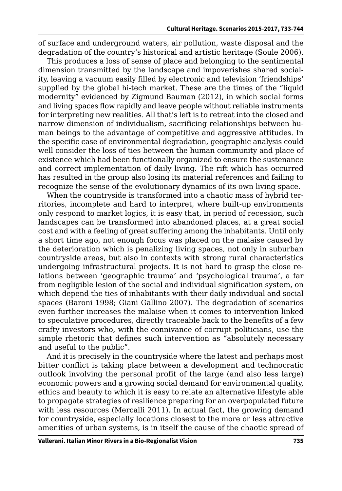of surface and underground waters, air pollution, waste disposal and the degradation of the country's historical and artistic heritage (Soule 2006).

This produces a loss of sense of place and belonging to the sentimental dimension transmitted by the landscape and impoverishes shared sociality, leaving a vacuum easily filled by electronic and television 'friendships' supplied by the global hi-tech market. These are the times of the "liquid modernity" evidenced by Zigmund Bauman (2012), in which social forms and living spaces flow rapidly and leave people without reliable instruments for interpreting new realities. All that's left is to retreat into the closed and narrow dimension of individualism, sacrificing relationships between human beings to the advantage of competitive and aggressive attitudes. In the specific case of environmental degradation, geographic analysis could well consider the loss of ties between the human community and place of existence which had been functionally organized to ensure the sustenance and correct implementation of daily living. The rift which has occurred has resulted in the group also losing its material references and failing to recognize the sense of the evolutionary dynamics of its own living space.

When the countryside is transformed into a chaotic mass of hybrid territories, incomplete and hard to interpret, where built-up environments only respond to market logics, it is easy that, in period of recession, such landscapes can be transformed into abandoned places, at a great social cost and with a feeling of great suffering among the inhabitants. Until only a short time ago, not enough focus was placed on the malaise caused by the deterioration which is penalizing living spaces, not only in suburban countryside areas, but also in contexts with strong rural characteristics undergoing infrastructural projects. It is not hard to grasp the close relations between 'geographic trauma' and 'psychological trauma', a far from negligible lesion of the social and individual signification system, on which depend the ties of inhabitants with their daily individual and social spaces (Baroni 1998; Giani Gallino 2007). The degradation of scenarios even further increases the malaise when it comes to intervention linked to speculative procedures, directly traceable back to the benefits of a few crafty investors who, with the connivance of corrupt politicians, use the simple rhetoric that defines such intervention as "absolutely necessary and useful to the public".

And it is precisely in the countryside where the latest and perhaps most bitter conflict is taking place between a development and technocratic outlook involving the personal profit of the large (and also less large) economic powers and a growing social demand for environmental quality, ethics and beauty to which it is easy to relate an alternative lifestyle able to propagate strategies of resilience preparing for an overpopulated future with less resources (Mercalli 2011). In actual fact, the growing demand for countryside, especially locations closest to the more or less attractive amenities of urban systems, is in itself the cause of the chaotic spread of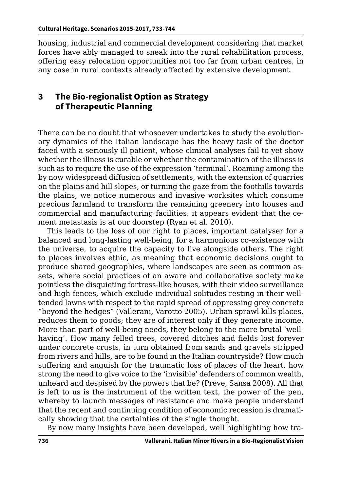housing, industrial and commercial development considering that market forces have ably managed to sneak into the rural rehabilitation process, offering easy relocation opportunities not too far from urban centres, in any case in rural contexts already affected by extensive development.

#### **3 The Bio-regionalist Option as Strategy of Therapeutic Planning**

There can be no doubt that whosoever undertakes to study the evolutionary dynamics of the Italian landscape has the heavy task of the doctor faced with a seriously ill patient, whose clinical analyses fail to yet show whether the illness is curable or whether the contamination of the illness is such as to require the use of the expression 'terminal'. Roaming among the by now widespread diffusion of settlements, with the extension of quarries on the plains and hill slopes, or turning the gaze from the foothills towards the plains, we notice numerous and invasive worksites which consume precious farmland to transform the remaining greenery into houses and commercial and manufacturing facilities: it appears evident that the cement metastasis is at our doorstep (Ryan et al. 2010).

This leads to the loss of our right to places, important catalyser for a balanced and long-lasting well-being, for a harmonious co-existence with the universe, to acquire the capacity to live alongside others. The right to places involves ethic, as meaning that economic decisions ought to produce shared geographies, where landscapes are seen as common assets, where social practices of an aware and collaborative society make pointless the disquieting fortress-like houses, with their video surveillance and high fences, which exclude individual solitudes resting in their welltended lawns with respect to the rapid spread of oppressing grey concrete "beyond the hedges" (Vallerani, Varotto 2005). Urban sprawl kills places, reduces them to goods; they are of interest only if they generate income. More than part of well-being needs, they belong to the more brutal 'wellhaving'. How many felled trees, covered ditches and fields lost forever under concrete crusts, in turn obtained from sands and gravels stripped from rivers and hills, are to be found in the Italian countryside? How much suffering and anguish for the traumatic loss of places of the heart, how strong the need to give voice to the 'invisible' defenders of common wealth, unheard and despised by the powers that be? (Preve, Sansa 2008). All that is left to us is the instrument of the written text, the power of the pen, whereby to launch messages of resistance and make people understand that the recent and continuing condition of economic recession is dramatically showing that the certainties of the single thought.

By now many insights have been developed, well highlighting how tra-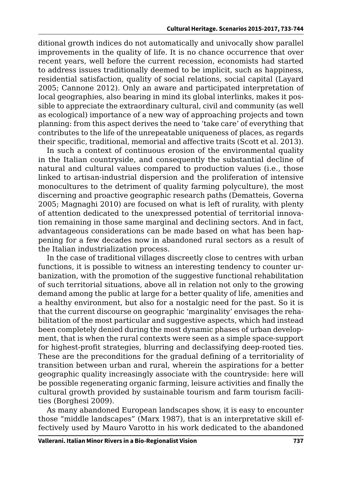ditional growth indices do not automatically and univocally show parallel improvements in the quality of life. It is no chance occurrence that over recent years, well before the current recession, economists had started to address issues traditionally deemed to be implicit, such as happiness, residential satisfaction, quality of social relations, social capital (Layard 2005; Cannone 2012). Only an aware and participated interpretation of local geographies, also bearing in mind its global interlinks, makes it possible to appreciate the extraordinary cultural, civil and community (as well as ecological) importance of a new way of approaching projects and town planning: from this aspect derives the need to 'take care' of everything that contributes to the life of the unrepeatable uniqueness of places, as regards their specific, traditional, memorial and affective traits (Scott et al. 2013).

In such a context of continuous erosion of the environmental quality in the Italian countryside, and consequently the substantial decline of natural and cultural values compared to production values (i.e., those linked to artisan-industrial dispersion and the proliferation of intensive monocultures to the detriment of quality farming polyculture), the most discerning and proactive geographic research paths (Dematteis, Governa 2005; Magnaghi 2010) are focused on what is left of rurality, with plenty of attention dedicated to the unexpressed potential of territorial innovation remaining in those same marginal and declining sectors. And in fact, advantageous considerations can be made based on what has been happening for a few decades now in abandoned rural sectors as a result of the Italian industrialization process.

In the case of traditional villages discreetly close to centres with urban functions, it is possible to witness an interesting tendency to counter urbanization, with the promotion of the suggestive functional rehabilitation of such territorial situations, above all in relation not only to the growing demand among the public at large for a better quality of life, amenities and a healthy environment, but also for a nostalgic need for the past. So it is that the current discourse on geographic 'marginality' envisages the rehabilitation of the most particular and suggestive aspects, which had instead been completely denied during the most dynamic phases of urban development, that is when the rural contexts were seen as a simple space-support for highest-profit strategies, blurring and declassifying deep-rooted ties. These are the preconditions for the gradual defining of a territoriality of transition between urban and rural, wherein the aspirations for a better geographic quality increasingly associate with the countryside: here will be possible regenerating organic farming, leisure activities and finally the cultural growth provided by sustainable tourism and farm tourism facilities (Borghesi 2009).

As many abandoned European landscapes show, it is easy to encounter those "middle landscapes" (Marx 1987), that is an interpretative skill effectively used by Mauro Varotto in his work dedicated to the abandoned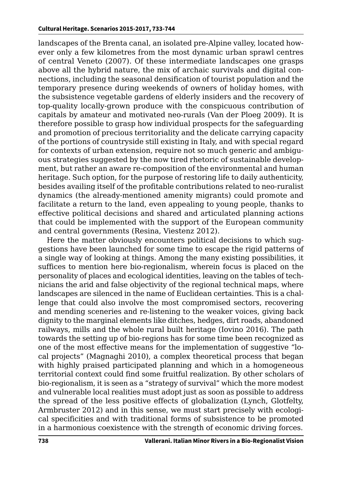landscapes of the Brenta canal, an isolated pre-Alpine valley, located however only a few kilometres from the most dynamic urban sprawl centres of central Veneto (2007). Of these intermediate landscapes one grasps above all the hybrid nature, the mix of archaic survivals and digital connections, including the seasonal densification of tourist population and the temporary presence during weekends of owners of holiday homes, with the subsistence vegetable gardens of elderly insiders and the recovery of top-quality locally-grown produce with the conspicuous contribution of capitals by amateur and motivated neo-rurals (Van der Ploeg 2009). It is therefore possible to grasp how individual prospects for the safeguarding and promotion of precious territoriality and the delicate carrying capacity of the portions of countryside still existing in Italy, and with special regard for contexts of urban extension, require not so much generic and ambiguous strategies suggested by the now tired rhetoric of sustainable development, but rather an aware re-composition of the environmental and human heritage. Such option, for the purpose of restoring life to daily authenticity, besides availing itself of the profitable contributions related to neo-ruralist dynamics (the already-mentioned amenity migrants) could promote and facilitate a return to the land, even appealing to young people, thanks to effective political decisions and shared and articulated planning actions that could be implemented with the support of the European community and central governments (Resina, Viestenz 2012).

Here the matter obviously encounters political decisions to which suggestions have been launched for some time to escape the rigid patterns of a single way of looking at things. Among the many existing possibilities, it suffices to mention here bio-regionalism, wherein focus is placed on the personality of places and ecological identities, leaving on the tables of technicians the arid and false objectivity of the regional technical maps, where landscapes are silenced in the name of Euclidean certainties. This is a challenge that could also involve the most compromised sectors, recovering and mending sceneries and re-listening to the weaker voices, giving back dignity to the marginal elements like ditches, hedges, dirt roads, abandoned railways, mills and the whole rural built heritage (Iovino 2016). The path towards the setting up of bio-regions has for some time been recognized as one of the most effective means for the implementation of suggestive "local projects" (Magnaghi 2010), a complex theoretical process that began with highly praised participated planning and which in a homogeneous territorial context could find some fruitful realization. By other scholars of bio-regionalism, it is seen as a "strategy of survival" which the more modest and vulnerable local realities must adopt just as soon as possible to address the spread of the less positive effects of globalization (Lynch, Glotfelty, Armbruster 2012) and in this sense, we must start precisely with ecological specificities and with traditional forms of subsistence to be promoted in a harmonious coexistence with the strength of economic driving forces.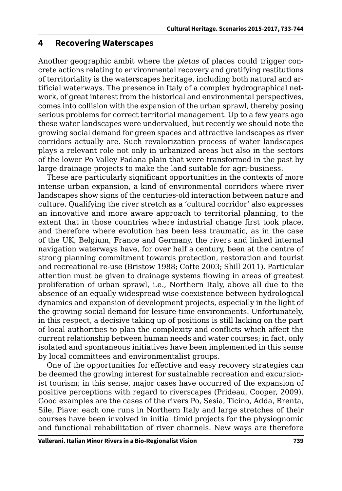#### **4 Recovering Waterscapes**

Another geographic ambit where the *pietas* of places could trigger concrete actions relating to environmental recovery and gratifying restitutions of territoriality is the waterscapes heritage, including both natural and artificial waterways. The presence in Italy of a complex hydrographical network, of great interest from the historical and environmental perspectives, comes into collision with the expansion of the urban sprawl, thereby posing serious problems for correct territorial management. Up to a few years ago these water landscapes were undervalued, but recently we should note the growing social demand for green spaces and attractive landscapes as river corridors actually are. Such revalorization process of water landscapes plays a relevant role not only in urbanized areas but also in the sectors of the lower Po Valley Padana plain that were transformed in the past by large drainage projects to make the land suitable for agri-business.

These are particularly significant opportunities in the contexts of more intense urban expansion, a kind of environmental corridors where river landscapes show signs of the centuries-old interaction between nature and culture. Qualifying the river stretch as a 'cultural corridor' also expresses an innovative and more aware approach to territorial planning, to the extent that in those countries where industrial change first took place, and therefore where evolution has been less traumatic, as in the case of the UK, Belgium, France and Germany, the rivers and linked internal navigation waterways have, for over half a century, been at the centre of strong planning commitment towards protection, restoration and tourist and recreational re-use (Bristow 1988; Cotte 2003; Shill 2011). Particular attention must be given to drainage systems flowing in areas of greatest proliferation of urban sprawl, i.e., Northern Italy, above all due to the absence of an equally widespread wise coexistence between hydrological dynamics and expansion of development projects, especially in the light of the growing social demand for leisure-time environments. Unfortunately, in this respect, a decisive taking up of positions is still lacking on the part of local authorities to plan the complexity and conflicts which affect the current relationship between human needs and water courses; in fact, only isolated and spontaneous initiatives have been implemented in this sense by local committees and environmentalist groups.

One of the opportunities for effective and easy recovery strategies can be deemed the growing interest for sustainable recreation and excursionist tourism; in this sense, major cases have occurred of the expansion of positive perceptions with regard to riverscapes (Prideau, Cooper, 2009). Good examples are the cases of the rivers Po, Sesia, Ticino, Adda, Brenta, Sile, Piave: each one runs in Northern Italy and large stretches of their courses have been involved in initial timid projects for the physiognomic and functional rehabilitation of river channels. New ways are therefore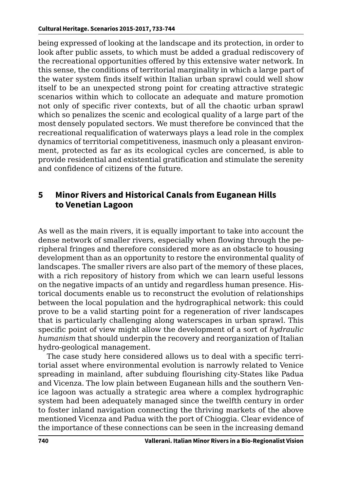being expressed of looking at the landscape and its protection, in order to look after public assets, to which must be added a gradual rediscovery of the recreational opportunities offered by this extensive water network. In this sense, the conditions of territorial marginality in which a large part of the water system finds itself within Italian urban sprawl could well show itself to be an unexpected strong point for creating attractive strategic scenarios within which to collocate an adequate and mature promotion not only of specific river contexts, but of all the chaotic urban sprawl which so penalizes the scenic and ecological quality of a large part of the most densely populated sectors. We must therefore be convinced that the recreational requalification of waterways plays a lead role in the complex dynamics of territorial competitiveness, inasmuch only a pleasant environment, protected as far as its ecological cycles are concerned, is able to provide residential and existential gratification and stimulate the serenity and confidence of citizens of the future.

#### **5 Minor Rivers and Historical Canals from Euganean Hills to Venetian Lagoon**

As well as the main rivers, it is equally important to take into account the dense network of smaller rivers, especially when flowing through the peripheral fringes and therefore considered more as an obstacle to housing development than as an opportunity to restore the environmental quality of landscapes. The smaller rivers are also part of the memory of these places, with a rich repository of history from which we can learn useful lessons on the negative impacts of an untidy and regardless human presence. Historical documents enable us to reconstruct the evolution of relationships between the local population and the hydrographical network: this could prove to be a valid starting point for a regeneration of river landscapes that is particularly challenging along waterscapes in urban sprawl. This specific point of view might allow the development of a sort of *hydraulic humanism* that should underpin the recovery and reorganization of Italian hydro-geological management.

The case study here considered allows us to deal with a specific territorial asset where environmental evolution is narrowly related to Venice spreading in mainland, after subduing flourishing city-States like Padua and Vicenza. The low plain between Euganean hills and the southern Venice lagoon was actually a strategic area where a complex hydrographic system had been adequately managed since the twelfth century in order to foster inland navigation connecting the thriving markets of the above mentioned Vicenza and Padua with the port of Chioggia. Clear evidence of the importance of these connections can be seen in the increasing demand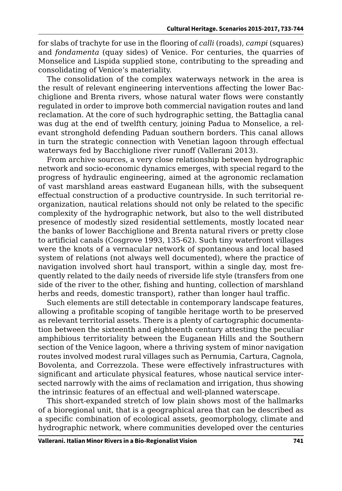for slabs of trachyte for use in the flooring of *calli* (roads), *campi* (squares) and *fondamenta* (quay sides) of Venice. For centuries, the quarries of Monselice and Lispida supplied stone, contributing to the spreading and consolidating of Venice's materiality.

The consolidation of the complex waterways network in the area is the result of relevant engineering interventions affecting the lower Bacchiglione and Brenta rivers, whose natural water flows were constantly regulated in order to improve both commercial navigation routes and land reclamation. At the core of such hydrographic setting, the Battaglia canal was dug at the end of twelfth century, joining Padua to Monselice, a relevant stronghold defending Paduan southern borders. This canal allows in turn the strategic connection with Venetian lagoon through effectual waterways fed by Bacchiglione river runoff (Vallerani 2013).

From archive sources, a very close relationship between hydrographic network and socio-economic dynamics emerges, with special regard to the progress of hydraulic engineering, aimed at the agronomic reclamation of vast marshland areas eastward Euganean hills, with the subsequent effectual construction of a productive countryside. In such territorial reorganization, nautical relations should not only be related to the specific complexity of the hydrographic network, but also to the well distributed presence of modestly sized residential settlements, mostly located near the banks of lower Bacchiglione and Brenta natural rivers or pretty close to artificial canals (Cosgrove 1993, 135-62). Such tiny waterfront villages were the knots of a vernacular network of spontaneous and local based system of relations (not always well documented), where the practice of navigation involved short haul transport, within a single day, most frequently related to the daily needs of riverside life style (transfers from one side of the river to the other, fishing and hunting, collection of marshland herbs and reeds, domestic transport), rather than longer haul traffic.

Such elements are still detectable in contemporary landscape features, allowing a profitable scoping of tangible heritage worth to be preserved as relevant territorial assets. There is a plenty of cartographic documentation between the sixteenth and eighteenth century attesting the peculiar amphibious territoriality between the Euganean Hills and the Southern section of the Venice lagoon, where a thriving system of minor navigation routes involved modest rural villages such as Pernumia, Cartura, Cagnola, Bovolenta, and Correzzola. These were effectively infrastructures with significant and articulate physical features, whose nautical service intersected narrowly with the aims of reclamation and irrigation, thus showing the intrinsic features of an effectual and well-planned waterscape.

This short-expanded stretch of low plain shows most of the hallmarks of a bioregional unit, that is a geographical area that can be described as a specific combination of ecological assets, geomorphology, climate and hydrographic network, where communities developed over the centuries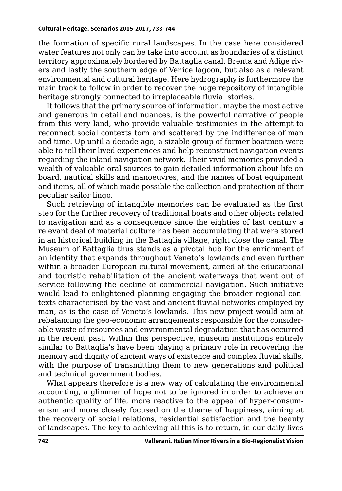the formation of specific rural landscapes. In the case here considered water features not only can be take into account as boundaries of a distinct territory approximately bordered by Battaglia canal, Brenta and Adige rivers and lastly the southern edge of Venice lagoon, but also as a relevant environmental and cultural heritage. Here hydrography is furthermore the main track to follow in order to recover the huge repository of intangible heritage strongly connected to irreplaceable fluvial stories.

It follows that the primary source of information, maybe the most active and generous in detail and nuances, is the powerful narrative of people from this very land, who provide valuable testimonies in the attempt to reconnect social contexts torn and scattered by the indifference of man and time. Up until a decade ago, a sizable group of former boatmen were able to tell their lived experiences and help reconstruct navigation events regarding the inland navigation network. Their vivid memories provided a wealth of valuable oral sources to gain detailed information about life on board, nautical skills and manoeuvres, and the names of boat equipment and items, all of which made possible the collection and protection of their peculiar sailor lingo.

Such retrieving of intangible memories can be evaluated as the first step for the further recovery of traditional boats and other objects related to navigation and as a consequence since the eighties of last century a relevant deal of material culture has been accumulating that were stored in an historical building in the Battaglia village, right close the canal. The Museum of Battaglia thus stands as a pivotal hub for the enrichment of an identity that expands throughout Veneto's lowlands and even further within a broader European cultural movement, aimed at the educational and touristic rehabilitation of the ancient waterways that went out of service following the decline of commercial navigation. Such initiative would lead to enlightened planning engaging the broader regional contexts characterised by the vast and ancient fluvial networks employed by man, as is the case of Veneto's lowlands. This new project would aim at rebalancing the geo-economic arrangements responsible for the considerable waste of resources and environmental degradation that has occurred in the recent past. Within this perspective, museum institutions entirely similar to Battaglia's have been playing a primary role in recovering the memory and dignity of ancient ways of existence and complex fluvial skills, with the purpose of transmitting them to new generations and political and technical government bodies.

What appears therefore is a new way of calculating the environmental accounting, a glimmer of hope not to be ignored in order to achieve an authentic quality of life, more reactive to the appeal of hyper-consumerism and more closely focused on the theme of happiness, aiming at the recovery of social relations, residential satisfaction and the beauty of landscapes. The key to achieving all this is to return, in our daily lives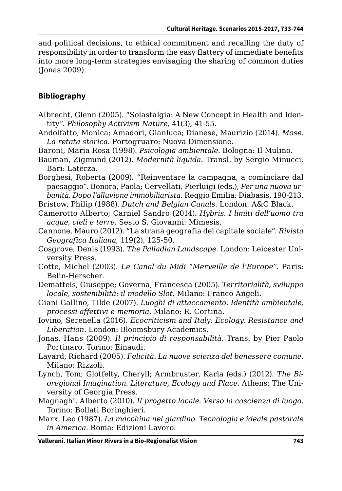and political decisions, to ethical commitment and recalling the duty of responsibility in order to transform the easy flattery of immediate benefits into more long-term strategies envisaging the sharing of common duties (Jonas 2009).

#### **Bibliography**

- Albrecht, Glenn (2005). "Solastalgia: A New Concept in Health and Identity". *Philosophy Activism Nature*, 41(3), 41-55.
- Andolfatto, Monica; Amadori, Gianluca; Dianese, Maurizio (2014). *Mose. La retata storica*. Portogruaro: Nuova Dimensione.
- Baroni, Maria Rosa (1998). *Psicologia ambientale*. Bologna: Il Mulino.
- Bauman, Zigmund (2012). *Modernità liquida*. Transl. by Sergio Minucci. Bari: Laterza.
- Borghesi, Roberta (2009). "Reinventare la campagna, a cominciare dal paesaggio". Bonora, Paola; Cervellati, Pierluigi (eds.), *Per una nuova urbanità. Dopo l'alluvione immobiliarista*. Reggio Emilia: Diabasis, 190-213.
- Bristow, Philip (1988). *Dutch and Belgian Canals.* London: A&C Black.
- Camerotto Alberto; Carniel Sandro (2014). *Hybris. I limiti dell'uomo tra acque, cieli e terre*. Sesto S. Giovanni: Mimesis.
- Cannone, Mauro (2012). "La strana geografia del capitale sociale". *Rivista Geografica Italiana*, 119(2), 125-50.
- Cosgrove, Denis (1993). *The Palladian Landscape.* London: Leicester University Press.
- Cotte, Michel (2003). *Le Canal du Midi "Merveille de l'Europe"*. Paris: Belin-Herscher.
- Dematteis, Giuseppe; Governa, Francesca (2005). *Territorialità, sviluppo locale, sostenibilità: il modello Slot.* Milano: Franco Angeli.
- Giani Gallino, Tilde (2007). *Luoghi di attaccamento. Identità ambientale, processi affettivi e memoria.* Milano: R. Cortina.
- Iovino, Serenella (2016). *Ecocriticism and Italy: Ecology, Resistance and Liberation.* London: Bloomsbury Academics.
- Jonas, Hans (2009). *Il principio di responsabilità.* Trans. by Pier Paolo Portinaro. Torino: Einaudi.
- Layard, Richard (2005). *Felicità. La nuove scienza del benessere comune*. Milano: Rizzoli.
- Lynch, Tom; Glotfelty, Cheryll; Armbruster, Karla (eds.) (2012). *The Bioregional Imagination. Literature, Ecology and Place*. Athens: The University of Georgia Press.
- Magnaghi, Alberto (2010). *Il progetto locale. Verso la coscienza di luogo*. Torino: Bollati Boringhieri.
- Marx, Leo (1987). *La macchina nel giardino. Tecnologia e ideale pastorale in America.* Roma: Edizioni Lavoro.